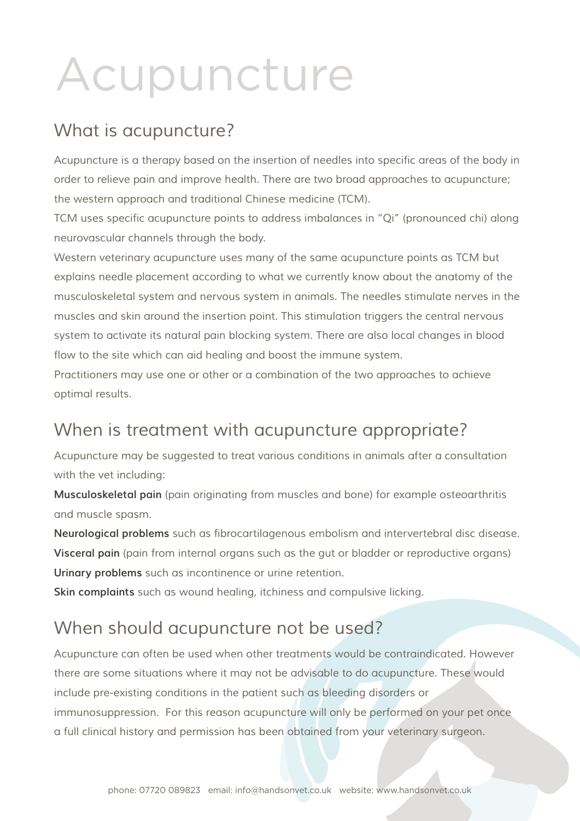# Acupuncture

## *What is acupuncture?*

*Acupuncture is a therapy based on the insertion of needles into specific areas of the body in order to relieve pain and improve health. There are two broad approaches to acupuncture; the western approach and traditional Chinese medicine (TCM).*

*TCM uses specific acupuncture points to address imbalances in "Qi" (pronounced chi) along neurovascular channels through the body.* 

*Western veterinary acupuncture uses many of the same acupuncture points as TCM but explains needle placement according to what we currently know about the anatomy of the musculoskeletal system and nervous system in animals. The needles stimulate nerves in the muscles and skin around the insertion point. This stimulation triggers the central nervous system to activate its natural pain blocking system. There are also local changes in blood flow to the site which can aid healing and boost the immune system.*

*Practitioners may use one or other or a combination of the two approaches to achieve optimal results.*

## *When is treatment with acupuncture appropriate?*

*Acupuncture may be suggested to treat various conditions in animals after a consultation with the vet including:*

**Musculoskeletal pain** *(pain originating from muscles and bone) for example osteoarthritis and muscle spasm.*

**Neurological problems** *such as fibrocartilagenous embolism and intervertebral disc disease.* **Visceral pain** *(pain from internal organs such as the gut or bladder or reproductive organs)* **Urinary problems** *such as incontinence or urine retention.*

**Skin complaints** *such as wound healing, itchiness and compulsive licking.*

## *When should acupuncture not be used?*

*Acupuncture can often be used when other treatments would be contraindicated. However there are some situations where it may not be advisable to do acupuncture. These would include pre-existing conditions in the patient such as bleeding disorders or immunosuppression. For this reason acupuncture will only be performed on your pet once a full clinical history and permission has been obtained from your veterinary surgeon.*